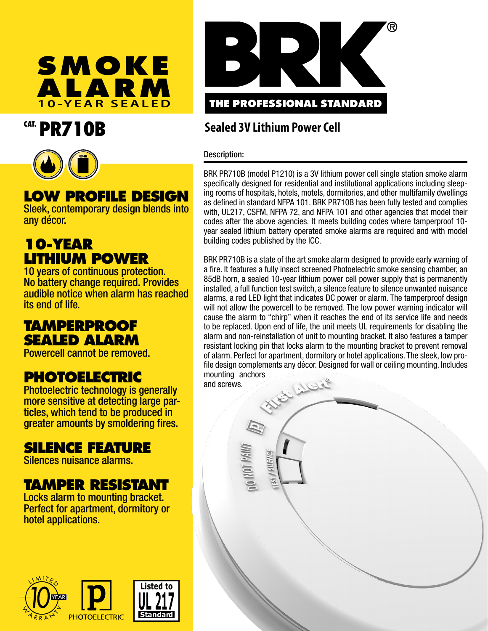

# CAT. PR710B



## **LOW PROFILE DESIGN**

Sleek, contemporary design blends into any décor.

## **10-YEAR LITHIUM POWER**

10 years of continuous protection. No battery change required. Provides audible notice when alarm has reached its end of life.

### **TAMPERPROOF SEALED ALARM**

Powercell cannot be removed.

## **PHOTOELECTRIC**

Photoelectric technology is generally more sensitive at detecting large particles, which tend to be produced in greater amounts by smoldering fires.

### **SILENCE FEATURE**

Silences nuisance alarms.

## **TAMPER RESISTANT**

Locks alarm to mounting bracket. Perfect for apartment, dormitory or hotel applications.





### **Sealed 3V Lithium Power Cell**

### Description:

ANNA 10N 0

**PINEINS** 

BRK PR710B (model P1210) is a 3V lithium power cell single station smoke alarm specifically designed for residential and institutional applications including sleeping rooms of hospitals, hotels, motels, dormitories, and other multifamily dwellings as defined in standard NFPA 101. BRK PR710B has been fully tested and complies with, UL217, CSFM, NFPA 72, and NFPA 101 and other agencies that model their codes after the above agencies. It meets building codes where tamperproof 10 year sealed lithium battery operated smoke alarms are required and with model building codes published by the ICC.

BRK PR710B is a state of the art smoke alarm designed to provide early warning of a fire. It features a fully insect screened Photoelectric smoke sensing chamber, an 85dB horn, a sealed 10-year lithium power cell power supply that is permanently installed, a full function test switch, a silence feature to silence unwanted nuisance alarms, a red LED light that indicates DC power or alarm. The tamperproof design will not allow the powercell to be removed. The low power warning indicator will cause the alarm to "chirp" when it reaches the end of its service life and needs to be replaced. Upon end of life, the unit meets UL requirements for disabling the alarm and non-reinstallation of unit to mounting bracket. It also features a tamper resistant locking pin that locks alarm to the mounting bracket to prevent removal of alarm. Perfect for apartment, dormitory or hotel applications. The sleek, low profile design complements any décor. Designed for wall or ceiling mounting. Includes mounting anchors El Alere and screws.